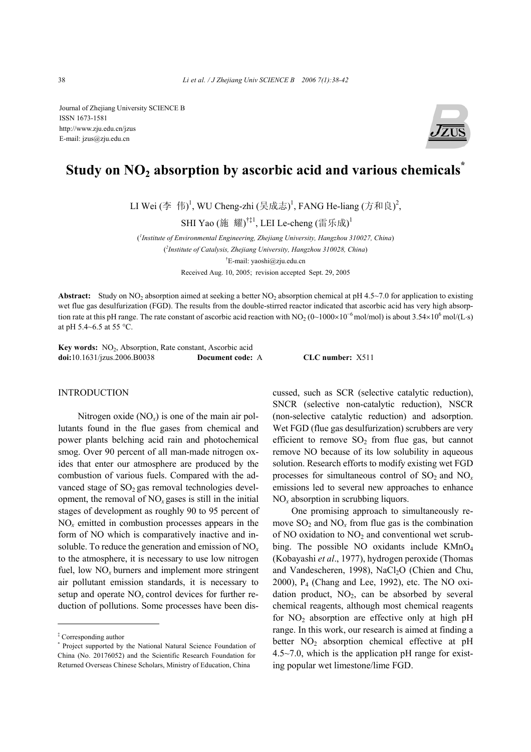Journal of Zhejiang University SCIENCE B ISSN 1673-1581 http://www.zju.edu.cn/jzus E-mail: jzus@zju.edu.cn



# Study on NO<sub>2</sub> absorption by ascorbic acid and various chemicals<sup>\*</sup>

LI Wei (李 伟)<sup>1</sup>, WU Cheng-zhi (吴成志)<sup>1</sup>, FANG He-liang (方和良)<sup>2</sup>,

SHI Yao (施 耀)<sup>†‡1</sup>, LEI Le-cheng (雷乐成)<sup>1</sup>

( *1 Institute of Environmental Engineering, Zhejiang University, Hangzhou 310027, China*) ( *2 Institute of Catalysis, Zhejiang University, Hangzhou 310028, China*) † E-mail: yaoshi@zju.edu.cn

Received Aug. 10, 2005; revision accepted Sept. 29, 2005

**Abstract:** Study on NO<sub>2</sub> absorption aimed at seeking a better NO<sub>2</sub> absorption chemical at pH 4.5~7.0 for application to existing wet flue gas desulfurization (FGD). The results from the double-stirred reactor indicated that ascorbic acid has very high absorption rate at this pH range. The rate constant of ascorbic acid reaction with NO<sub>2</sub> (0~1000×10<sup>-6</sup> mol/mol) is about 3.54×10<sup>6</sup> mol/(L⋅s) at pH 5.4~6.5 at 55 °C.

Key words: NO<sub>2</sub>, Absorption, Rate constant, Ascorbic acid **doi:**10.1631/jzus.2006.B0038 **Document code:** A **CLC number:** X511

#### INTRODUCTION

Nitrogen oxide (NO*x*) is one of the main air pollutants found in the flue gases from chemical and power plants belching acid rain and photochemical smog. Over 90 percent of all man-made nitrogen oxides that enter our atmosphere are produced by the combustion of various fuels. Compared with the advanced stage of  $SO<sub>2</sub>$  gas removal technologies development, the removal of  $NO<sub>x</sub>$  gases is still in the initial stages of development as roughly 90 to 95 percent of NO*x* emitted in combustion processes appears in the form of NO which is comparatively inactive and insoluble. To reduce the generation and emission of NO*<sup>x</sup>* to the atmosphere, it is necessary to use low nitrogen fuel, low  $NO<sub>x</sub>$  burners and implement more stringent air pollutant emission standards, it is necessary to setup and operate  $NO<sub>x</sub>$  control devices for further reduction of pollutions. Some processes have been discussed, such as SCR (selective catalytic reduction), SNCR (selective non-catalytic reduction), NSCR (non-selective catalytic reduction) and adsorption. Wet FGD (flue gas desulfurization) scrubbers are very efficient to remove  $SO_2$  from flue gas, but cannot remove NO because of its low solubility in aqueous solution. Research efforts to modify existing wet FGD processes for simultaneous control of  $SO_2$  and  $NO<sub>x</sub>$ emissions led to several new approaches to enhance NO*x* absorption in scrubbing liquors.

One promising approach to simultaneously remove  $SO_2$  and  $NO_x$  from flue gas is the combination of NO oxidation to  $NO<sub>2</sub>$  and conventional wet scrubbing. The possible NO oxidants include KMnO<sub>4</sub> (Kobayashi *et al*., 1977), hydrogen peroxide (Thomas and Vandescheren, 1998), NaCl<sub>2</sub>O (Chien and Chu, 2000), P4 (Chang and Lee, 1992), etc. The NO oxidation product,  $NO<sub>2</sub>$ , can be absorbed by several chemical reagents, although most chemical reagents for  $NO<sub>2</sub>$  absorption are effective only at high pH range. In this work, our research is aimed at finding a better  $NO<sub>2</sub>$  absorption chemical effective at pH 4.5~7.0, which is the application pH range for existing popular wet limestone/lime FGD.

<sup>‡</sup> Corresponding author

<sup>\*</sup> Project supported by the National Natural Science Foundation of China (No. 20176052) and the Scientific Research Foundation for Returned Overseas Chinese Scholars, Ministry of Education, China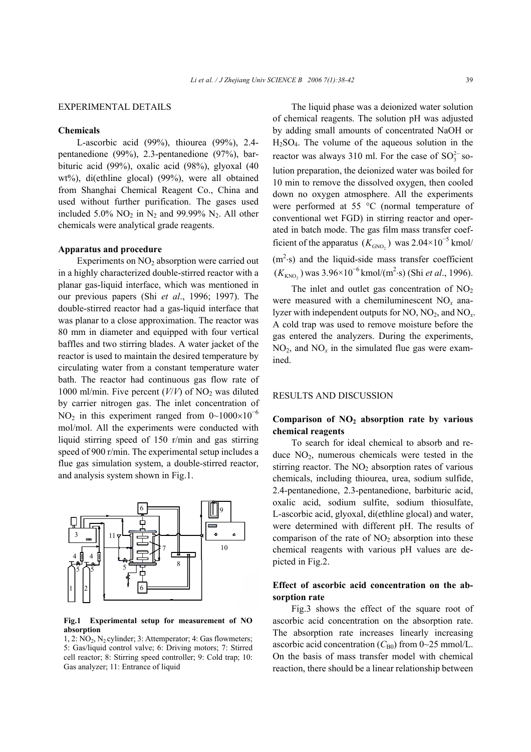# EXPERIMENTAL DETAILS

### **Chemicals**

L-ascorbic acid (99%), thiourea (99%), 2.4 pentanedione (99%), 2.3-pentanedione (97%), barbituric acid (99%), oxalic acid (98%), glyoxal (40 wt%), di(ethline glocal) (99%), were all obtained from Shanghai Chemical Reagent Co., China and used without further purification. The gases used included 5.0%  $NO<sub>2</sub>$  in  $N<sub>2</sub>$  and 99.99%  $N<sub>2</sub>$ . All other chemicals were analytical grade reagents.

#### **Apparatus and procedure**

Experiments on  $NO<sub>2</sub>$  absorption were carried out in a highly characterized double-stirred reactor with a planar gas-liquid interface, which was mentioned in our previous papers (Shi *et al*., 1996; 1997). The double-stirred reactor had a gas-liquid interface that was planar to a close approximation. The reactor was 80 mm in diameter and equipped with four vertical baffles and two stirring blades. A water jacket of the reactor is used to maintain the desired temperature by circulating water from a constant temperature water bath. The reactor had continuous gas flow rate of 1000 ml/min. Five percent  $(V/V)$  of NO<sub>2</sub> was diluted by carrier nitrogen gas. The inlet concentration of NO<sub>2</sub> in this experiment ranged from  $0 \sim 1000 \times 10^{-6}$ mol/mol. All the experiments were conducted with liquid stirring speed of 150 r/min and gas stirring speed of 900 r/min. The experimental setup includes a flue gas simulation system, a double-stirred reactor, and analysis system shown in Fig.1.



**Fig.1 Experimental setup for measurement of NO absorption** 

1, 2:  $\overline{NO}_2$ ,  $\overline{N}_2$  cylinder; 3: Attemperator; 4: Gas flowmeters; 5: Gas/liquid control valve; 6: Driving motors; 7: Stirred cell reactor; 8: Stirring speed controller; 9: Cold trap; 10: Gas analyzer; 11: Entrance of liquid

The liquid phase was a deionized water solution of chemical reagents. The solution pH was adjusted by adding small amounts of concentrated NaOH or  $H_2SO_4$ . The volume of the aqueous solution in the reactor was always 310 ml. For the case of  $SO_3^{2-}$  solution preparation, the deionized water was boiled for 10 min to remove the dissolved oxygen, then cooled down no oxygen atmosphere. All the experiments were performed at 55 °C (normal temperature of conventional wet FGD) in stirring reactor and operated in batch mode. The gas film mass transfer coefficient of the apparatus  $(K_{\text{GNO}_2})$  was  $2.04 \times 10^{-5}$  kmol/  $(m<sup>2</sup>·s)$  and the liquid-side mass transfer coefficient (K<sub>KNO2</sub>) was 3.96×10<sup>-6</sup> kmol/(m<sup>2</sup>·s) (Shi *et al.*, 1996).

The inlet and outlet gas concentration of  $NO<sub>2</sub>$ were measured with a chemiluminescent NO*x* analyzer with independent outputs for  $NO$ ,  $NO<sub>2</sub>$ , and  $NO<sub>r</sub>$ . A cold trap was used to remove moisture before the gas entered the analyzers. During the experiments,  $NO<sub>2</sub>$ , and  $NO<sub>x</sub>$  in the simulated flue gas were examined.

# RESULTS AND DISCUSSION

# **Comparison of NO2 absorption rate by various chemical reagents**

To search for ideal chemical to absorb and reduce  $NO<sub>2</sub>$ , numerous chemicals were tested in the stirring reactor. The  $NO<sub>2</sub>$  absorption rates of various chemicals, including thiourea, urea, sodium sulfide, 2.4-pentanedione, 2.3-pentanedione, barbituric acid, oxalic acid, sodium sulfite, sodium thiosulfate, L-ascorbic acid, glyoxal, di(ethline glocal) and water, were determined with different pH. The results of comparison of the rate of  $NO<sub>2</sub>$  absorption into these chemical reagents with various pH values are depicted in Fig.2.

# **Effect of ascorbic acid concentration on the absorption rate**

Fig.3 shows the effect of the square root of ascorbic acid concentration on the absorption rate. The absorption rate increases linearly increasing ascorbic acid concentration  $(C_{B0})$  from 0~25 mmol/L. On the basis of mass transfer model with chemical reaction, there should be a linear relationship between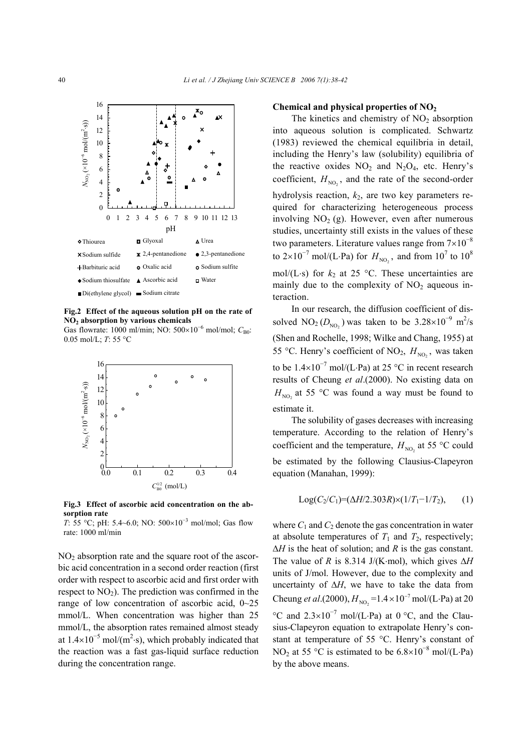

**Fig.2 Effect of the aqueous solution pH on the rate of NO2 absorption by various chemicals**  Gas flowrate: 1000 ml/min; NO: 500×10<sup>-6</sup> mol/mol; C<sub>B0</sub>: 0.05 mol/L; *T*: 55 °C



**Fig.3 Effect of ascorbic acid concentration on the absorption rate** 

*T*: 55 °C; pH: 5.4~6.0; NO: 500×10<sup>-3</sup> mol/mol; Gas flow rate: 1000 ml/min

 $NO<sub>2</sub>$  absorption rate and the square root of the ascorbic acid concentration in a second order reaction (first order with respect to ascorbic acid and first order with respect to  $NO<sub>2</sub>$ ). The prediction was confirmed in the range of low concentration of ascorbic acid, 0~25 mmol/L. When concentration was higher than 25 mmol/L, the absorption rates remained almost steady at  $1.4 \times 10^{-5}$  mol/(m<sup>2</sup>·s), which probably indicated that the reaction was a fast gas-liquid surface reduction during the concentration range.

# **Chemical and physical properties of NO2**

The kinetics and chemistry of  $NO<sub>2</sub>$  absorption into aqueous solution is complicated. Schwartz (1983) reviewed the chemical equilibria in detail, including the Henry's law (solubility) equilibria of the reactive oxides  $NO<sub>2</sub>$  and  $N<sub>2</sub>O<sub>4</sub>$ , etc. Henry's coefficient,  $H_{NO<sub>2</sub>}$ , and the rate of the second-order hydrolysis reaction, *k*2, are two key parameters required for characterizing heterogeneous process involving  $NO<sub>2</sub>$  (g). However, even after numerous studies, uncertainty still exists in the values of these two parameters. Literature values range from  $7\times10^{-8}$ to 2×10<sup>-7</sup> mol/(L⋅Pa) for  $H_{\text{NO}_2}$ , and from 10<sup>7</sup> to 10<sup>8</sup> mol/(L⋅s) for  $k_2$  at 25 °C. These uncertainties are mainly due to the complexity of  $NO<sub>2</sub>$  aqueous interaction.

In our research, the diffusion coefficient of dissolved NO<sub>2</sub> ( $D_{\text{NO}_2}$ ) was taken to be  $3.28 \times 10^{-9}$  m<sup>2</sup>/s (Shen and Rochelle, 1998; Wilke and Chang, 1955) at 55 °C. Henry's coefficient of NO<sub>2</sub>,  $H_{NO_2}$ , was taken to be  $1.4 \times 10^{-7}$  mol/(L⋅Pa) at 25 °C in recent research results of Cheung *et al*.(2000). No existing data on  $H_{\text{NO}_2}$  at 55 °C was found a way must be found to estimate it.

The solubility of gases decreases with increasing temperature. According to the relation of Henry's coefficient and the temperature,  $H_{\text{NO}_2}$  at 55 °C could be estimated by the following Clausius-Clapeyron equation (Manahan, 1999):

$$
Log(C_2/C_1)=(\Delta H/2.303R)\times(1/T_1-1/T_2),\qquad(1)
$$

where  $C_1$  and  $C_2$  denote the gas concentration in water at absolute temperatures of  $T_1$  and  $T_2$ , respectively; ∆*H* is the heat of solution; and *R* is the gas constant. The value of *R* is 8.314 J/(K⋅mol), which gives  $\Delta H$ units of J/mol. However, due to the complexity and uncertainty of ∆*H*, we have to take the data from Cheung *et al*.(2000),  $H_{NO_2} = 1.4 \times 10^{-7}$  mol/(L⋅Pa) at 20 °C and  $2.3 \times 10^{-7}$  mol/(L⋅Pa) at 0 °C, and the Clausius-Clapeyron equation to extrapolate Henry's constant at temperature of 55 °C. Henry's constant of NO<sub>2</sub> at 55 °C is estimated to be  $6.8 \times 10^{-8}$  mol/(L⋅Pa) by the above means.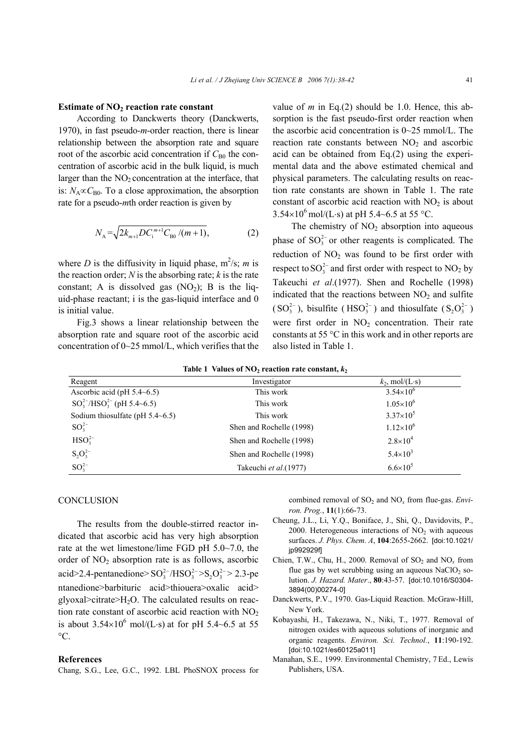#### **Estimate of NO<sub>2</sub> reaction rate constant**

According to Danckwerts theory (Danckwerts, 1970), in fast pseudo-*m*-order reaction, there is linear relationship between the absorption rate and square root of the ascorbic acid concentration if  $C_{B0}$  the concentration of ascorbic acid in the bulk liquid, is much larger than the  $NO<sub>2</sub>$  concentration at the interface, that is:  $N_A \propto C_{B0}$ . To a close approximation, the absorption rate for a pseudo-*m*th order reaction is given by

$$
N_{\rm A} = \sqrt{2k_{m+1}DC_{\rm i}^{m+1}C_{\rm B0}/(m+1)},\tag{2}
$$

where *D* is the diffusivity in liquid phase,  $m^2/s$ ; *m* is the reaction order;  $N$  is the absorbing rate;  $k$  is the rate constant; A is dissolved gas  $(NO<sub>2</sub>)$ ; B is the liquid-phase reactant; i is the gas-liquid interface and 0 is initial value.

Fig.3 shows a linear relationship between the absorption rate and square root of the ascorbic acid concentration of 0~25 mmol/L, which verifies that the value of  $m$  in Eq.(2) should be 1.0. Hence, this absorption is the fast pseudo-first order reaction when the ascorbic acid concentration is 0~25 mmol/L. The reaction rate constants between  $NO<sub>2</sub>$  and ascorbic acid can be obtained from Eq.(2) using the experimental data and the above estimated chemical and physical parameters. The calculating results on reaction rate constants are shown in Table 1. The rate constant of ascorbic acid reaction with  $NO<sub>2</sub>$  is about  $3.54\times10^{6}$  mol/(L⋅s) at pH 5.4~6.5 at 55 °C.

The chemistry of  $NO<sub>2</sub>$  absorption into aqueous phase of  $SO_3^{2-}$  or other reagents is complicated. The reduction of  $NO<sub>2</sub>$  was found to be first order with respect to  $SO_3^{2-}$  and first order with respect to  $NO_2$  by Takeuchi *et al*.(1977). Shen and Rochelle (1998) indicated that the reactions between  $NO<sub>2</sub>$  and sulfite  $(SO_3^{2-})$ , bisulfite  $(HSO_3^{2-})$  and thiosulfate  $(S_2O_3^{2-})$ were first order in  $NO<sub>2</sub>$  concentration. Their rate constants at 55 °C in this work and in other reports are also listed in Table 1.

|  | Table 1 Values of $NO2$ reaction rate constant, $k2$ |  |  |
|--|------------------------------------------------------|--|--|
|--|------------------------------------------------------|--|--|

| Reagent                             | Investigator             | $k_2$ , mol/(L·s)    |
|-------------------------------------|--------------------------|----------------------|
| Ascorbic acid (pH $5.4\neg 6.5$ )   | This work                | $3.54 \times 10^{6}$ |
| $SO_3^{2-}/HSO_3^{2-}$ (pH 5.4~6.5) | This work                | $1.05\times10^{6}$   |
| Sodium thiosulfate (pH $5.4~6.5$ )  | This work                | $3.37\times10^{5}$   |
| $SO_3^{2-}$                         | Shen and Rochelle (1998) | $1.12\times10^{6}$   |
| $HSO32-$                            | Shen and Rochelle (1998) | $2.8 \times 10^{4}$  |
| $S_2O_3^{2-}$                       | Shen and Rochelle (1998) | $5.4 \times 10^3$    |
| $SO_3^{2-}$                         | Takeuchi et al. (1977)   | $6.6 \times 10^{5}$  |

#### **CONCLUSION**

The results from the double-stirred reactor indicated that ascorbic acid has very high absorption rate at the wet limestone/lime FGD pH 5.0~7.0, the order of NO<sub>2</sub> absorption rate is as follows, ascorbic acid>2.4-pentanedione> $SO_3^{2-}/HSO_3^{2-} > S_2O_3^{2-} > 2.3$ -pe ntanedione>barbituric acid>thiouera>oxalic acid> glyoxal>citrate> $H_2O$ . The calculated results on reaction rate constant of ascorbic acid reaction with  $NO<sub>2</sub>$ is about  $3.54 \times 10^6$  mol/(L⋅s) at for pH 5.4~6.5 at 55  $\rm{^{\circ}C}.$ 

#### **References**

Chang, S.G., Lee, G.C., 1992. LBL PhoSNOX process for

combined removal of SO<sub>2</sub> and NO<sub>x</sub> from flue-gas. *Environ. Prog.*, **11**(1):66-73.

- Cheung, J.L., Li, Y.Q., Boniface, J., Shi, Q., Davidovits, P., 2000. Heterogeneous interactions of  $NO<sub>2</sub>$  with aqueous surfaces. *J. Phys. Chem. A*, **104**:2655-2662. [doi:10.1021/ jp992929f]
- Chien, T.W., Chu, H., 2000. Removal of SO<sub>2</sub> and NO<sub>x</sub> from flue gas by wet scrubbing using an aqueous  $NaClO<sub>2</sub>$  solution. *J. Hazard. Mater*., **80**:43-57. [doi:10.1016/S0304- 3894(00)00274-0]
- Danckwerts, P.V., 1970. Gas-Liquid Reaction. McGraw-Hill, New York.
- Kobayashi, H., Takezawa, N., Niki, T., 1977. Removal of nitrogen oxides with aqueous solutions of inorganic and organic reagents. *Environ. Sci. Technol.*, **11**:190-192. [doi:10.1021/es60125a011]
- Manahan, S.E., 1999. Environmental Chemistry, 7 Ed., Lewis Publishers, USA.